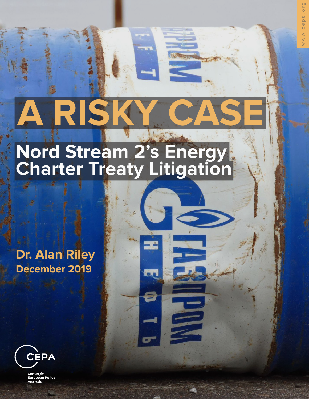# **A RISK**

# **Nord Stream 2's Energy Charter Treaty Litigation**

## **Dr. Alan Riley December 2019**



Center for European Policy<br>Analysis Center for European Policy Analysis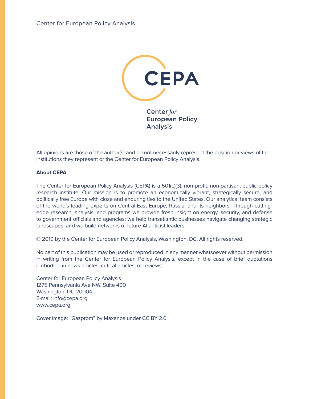

All opinions are those of the author(s) and do not necessarily represent the position or views of the institutions they represent or the Center for European Policy Analysis.

#### **About CEPA**

The Center for European Policy Analysis (CEPA) is a 501(c)(3), non-profit, non-partisan, public policy research institute. Our mission is to promote an economically vibrant, strategically secure, and politically free Europe with close and enduring ties to the United States. Our analytical team consists of the world's leading experts on Central-East Europe, Russia, and its neighbors. Through cuttingedge research, analysis, and programs we provide fresh insight on energy, security, and defense to government officials and agencies; we help transatlantic businesses navigate changing strategic landscapes; and we build networks of future Atlanticist leaders.

© 2019 by the Center for European Policy Analysis, Washington, DC. All rights reserved.

No part of this publication may be used or reproduced in any manner whatsoever without permission in writing from the Center for European Policy Analysis, except in the case of brief quotations embodied in news articles, critical articles, or reviews.

Center for European Policy Analysis 1275 Pennsylvania Ave NW, Suite 400 Washington, DC 20004 E-mail: info@cepa.org www.cepa.org

Cover image: "Gazprom" by Maxence under CC BY 2.0.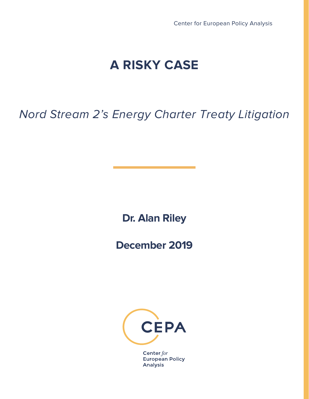## **A RISKY CASE**

## Nord Stream 2's Energy Charter Treaty Litigation

**Dr. Alan Riley**

**December 2019**



Center for European Policy **Analysis**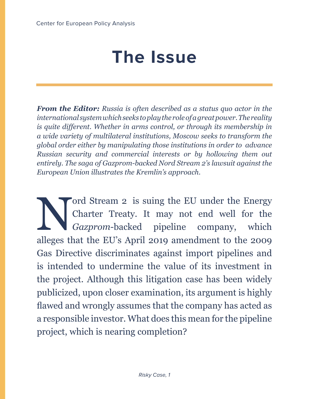# **The Issue**

*From the Editor: Russia is often described as a status quo actor in the international system which seeks to play the role of a great power. The reality is quite different. Whether in arms control, or through its membership in a wide variety of multilateral institutions, Moscow seeks to transform the global order either by manipulating those institutions in order to advance Russian security and commercial interests or by hollowing them out entirely. The saga of Gazprom-backed Nord Stream 2's lawsuit against the European Union illustrates the Kremlin's approach.*

Charter Treaty. It may not end well for the Gazprom-backed pipeline company, which allogos that the EU's April 2010 amondment to the 2000 Charter Treaty. It may not end well for the *Gazprom*-backed pipeline company, which alleges that the EU's April 2019 amendment to the 2009 Gas Directive discriminates against import pipelines and is intended to undermine the value of its investment in the project. Although this litigation case has been widely publicized, upon closer examination, its argument is highly flawed and wrongly assumes that the company has acted as a responsible investor. What does this mean for the pipeline project, which is nearing completion?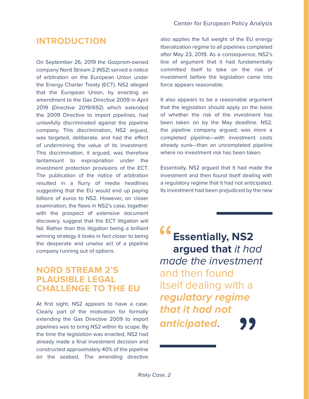#### **INTRODUCTION**

On September 26, 2019 the Gazprom-owned company Nord Stream 2 (NS2) served a notice of arbitration on the European Union under the Energy Charter Treaty (ECT). NS2 alleged that the European Union, by enacting an amendment to the Gas Directive 2009 in April 2019 (Directive 2019/692) which extended the 2009 Directive to import pipelines, had unlawfully discriminated against the pipeline company. This discrimination, NS2 argued, was targeted, deliberate, and had the effect of undermining the value of its investment. This discrimination, it argued, was therefore tantamount to expropriation under the investment protection provisions of the ECT. The publication of the notice of arbitration resulted in a flurry of media headlines suggesting that the EU would end up paying billions of euros to NS2. However, on closer examination, the flaws in NS2's case, together with the prospect of extensive document discovery, suggest that the ECT litigation will fail. Rather than this litigation being a brilliant winning strategy it looks in fact closer to being the desperate and unwise act of a pipeline company running out of options.

#### **NORD STREAM 2'S PLAUSIBLE LEGAL CHALLENGE TO THE EU**

At first sight, NS2 appears to have a case. Clearly part of the motivation for formally extending the Gas Directive 2009 to import pipelines was to bring NS2 within its scope. By the time the legislation was enacted, NS2 had already made a final investment decision and constructed approximately 40% of the pipeline on the seabed. The amending directive

#### Center for European Policy Analysis

also applies the full weight of the EU energy liberalization regime to all pipelines completed after May 23, 2019. As a consequence, NS2's line of argument that it had fundamentally committed itself to take on the risk of investment before the legislation came into force appears reasonable.

It also appears to be a reasonable argument that the legislation should apply on the basis of whether the risk of the investment has been taken on by the May deadline. NS2, the pipeline company argued, was more a completed pipeline—with investment costs already sunk—than an uncompleted pipeline where no investment risk has been taken.

Essentially, NS2 argued that it had made the investment and then found itself dealing with a regulatory regime that it had not anticipated. Its investment had been prejudiced by the new

"**Essentially, NS2 argued that** it had made the investment and then found itself dealing with a **regulatory regime that it had not anticipated**. "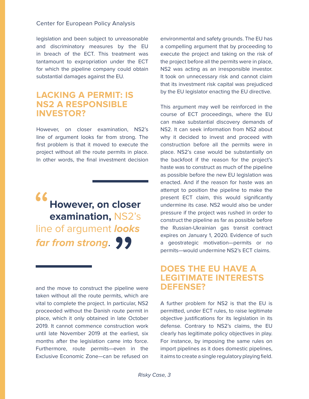legislation and been subject to unreasonable and discriminatory measures by the EU in breach of the ECT. This treatment was tantamount to expropriation under the ECT for which the pipeline company could obtain substantial damages against the EU.

#### **LACKING A PERMIT: IS NS2 A RESPONSIBLE INVESTOR?**

However, on closer examination, NS2's line of argument looks far from strong. The first problem is that it moved to execute the project without all the route permits in place. In other words, the final investment decision

# "**However, on closer examination,** NS2's line of argument **looks far from strong**. From strong. 99

and the move to construct the pipeline were **DEFENSE?** taken without all the route permits, which are vital to complete the project. In particular, NS2 proceeded without the Danish route permit in place, which it only obtained in late October 2019. It cannot commence construction work until late November 2019 at the earliest, six months after the legislation came into force. Furthermore, route permits—even in the Exclusive Economic Zone—can be refused on

environmental and safety grounds. The EU has a compelling argument that by proceeding to execute the project and taking on the risk of the project before all the permits were in place, NS2 was acting as an irresponsible investor. It took on unnecessary risk and cannot claim that its investment risk capital was prejudiced by the EU legislator enacting the EU directive.

This argument may well be reinforced in the course of ECT proceedings, where the EU can make substantial discovery demands of NS2. It can seek information from NS2 about why it decided to invest and proceed with construction before all the permits were in place. NS2's case would be substantially on the backfoot if the reason for the project's haste was to construct as much of the pipeline as possible before the new EU legislation was enacted. And if the reason for haste was an attempt to position the pipeline to make the present ECT claim, this would significantly undermine its case. NS2 would also be under pressure if the project was rushed in order to construct the pipeline as far as possible before the Russian-Ukrainian gas transit contract expires on January 1, 2020. Evidence of such a geostrategic motivation—permits or no permits—would undermine NS2's ECT claims.

## **DOES THE EU HAVE A LEGITIMATE INTERESTS**

A further problem for NS2 is that the EU is permitted, under ECT rules, to raise legitimate objective justifications for its legislation in its defense. Contrary to NS2's claims, the EU clearly has legitimate policy objectives in play. For instance, by imposing the same rules on import pipelines as it does domestic pipelines, it aims to create a single regulatory playing field.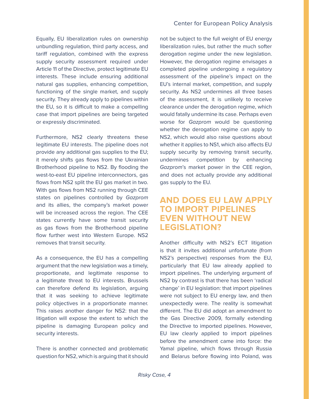Equally, EU liberalization rules on ownership unbundling regulation, third party access, and tariff regulation, combined with the express supply security assessment required under Article 11 of the Directive, protect legitimate EU interests. These include ensuring additional natural gas supplies, enhancing competition, functioning of the single market, and supply security. They already apply to pipelines within the EU, so it is difficult to make a compelling case that import pipelines are being targeted or expressly discriminated.

Furthermore, NS2 clearly threatens these legitimate EU interests. The pipeline does not provide any additional gas supplies to the EU; it merely shifts gas flows from the Ukrainian Brotherhood pipeline to NS2. By flooding the west-to-east EU pipeline interconnectors, gas flows from NS2 split the EU gas market in two. With gas flows from NS2 running through CEE states on pipelines controlled by Gazprom and its allies, the company's market power will be increased across the region. The CEE states currently have some transit security as gas flows from the Brotherhood pipeline flow further west into Western Europe. NS2 removes that transit security.

As a consequence, the EU has a compelling argument that the new legislation was a timely, proportionate, and legitimate response to a legitimate threat to EU interests. Brussels can therefore defend its legislation, arguing that it was seeking to achieve legitimate policy objectives in a proportionate manner. This raises another danger for NS2: that the litigation will expose the extent to which the pipeline is damaging European policy and security interests.

There is another connected and problematic question for NS2, which is arguing that it should not be subject to the full weight of EU energy liberalization rules, but rather the much softer derogation regime under the new legislation. However, the derogation regime envisages a completed pipeline undergoing a regulatory assessment of the pipeline's impact on the EU's internal market, competition, and supply security. As NS2 undermines all three bases of the assessment, it is unlikely to receive clearance under the derogation regime, which would fatally undermine its case. Perhaps even worse for Gazprom would be questioning whether the derogation regime can apply to NS2, which would also raise questions about whether it applies to NS1, which also affects EU supply security by removing transit security, undermines competition by enhancing Gazprom's market power in the CEE region, and does not actually provide any additional gas supply to the EU.

#### **AND DOES EU LAW APPLY TO IMPORT PIPELINES EVEN WITHOUT NEW LEGISLATION?**

Another difficulty with NS2's ECT litigation is that it invites additional unfortunate (from NS2's perspective) responses from the EU, particularly that EU law already applied to import pipelines. The underlying argument of NS2 by contrast is that there has been 'radical change' in EU legislation: that import pipelines were not subject to EU energy law, and then unexpectedly were. The reality is somewhat different. The EU did adopt an amendment to the Gas Directive 2009, formally extending the Directive to imported pipelines. However, EU law clearly applied to import pipelines before the amendment came into force: the Yamal pipeline, which flows through Russia and Belarus before flowing into Poland, was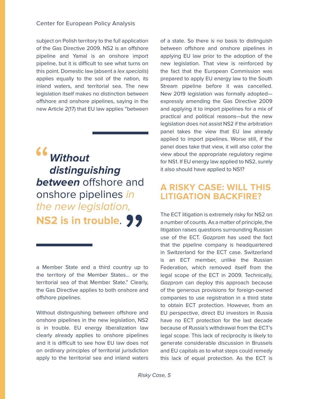#### Center for European Policy Analysis

subject on Polish territory to the full application of the Gas Directive 2009. NS2 is an offshore pipeline and Yamal is an onshore import pipeline, but it is difficult to see what turns on this point. Domestic law (absent a lex specialis) applies equally to the soil of the nation, its inland waters, and territorial sea. The new legislation itself makes no distinction between offshore and onshore pipelines, saying in the new Article 2(17) that EU law applies "between

"**Without distinguishing between** offshore and onshore pipelines in the new legislation, **NS2 is in trouble**. 2 is in trouble. 99

a Member State and a third country up to the territory of the Member States… or the territorial sea of that Member State." Clearly, the Gas Directive applies to both onshore and offshore pipelines.

Without distinguishing between offshore and onshore pipelines in the new legislation, NS2 is in trouble. EU energy liberalization law clearly already applies to onshore pipelines and it is difficult to see how EU law does not on ordinary principles of territorial jurisdiction apply to the territorial sea and inland waters of a state. So there is no basis to distinguish between offshore and onshore pipelines in applying EU law prior to the adoption of the new legislation. That view is reinforced by the fact that the European Commission was prepared to apply EU energy law to the South Stream pipeline before it was cancelled. New 2019 legislation was formally adopted expressly amending the Gas Directive 2009 and applying it to import pipelines for a mix of practical and political reasons—but the new legislation does not assist NS2 if the arbitration panel takes the view that EU law already applied to import pipelines. Worse still, if the panel does take that view, it will also color the view about the appropriate regulatory regime for NS1. If EU energy law applied to NS2, surely it also should have applied to NS1?

#### **A RISKY CASE: WILL THIS LITIGATION BACKFIRE?**

The ECT litigation is extremely risky for NS2 on a number of counts. As a matter of principle, the litigation raises questions surrounding Russian use of the ECT. Gazprom has used the fact that the pipeline company is headquartered in Switzerland for the ECT case. Switzerland is an ECT member, unlike the Russian Federation, which removed itself from the legal scope of the ECT in 2009. Technically, Gazprom can deploy this approach because of the generous provisions for foreign-owned companies to use registration in a third state to obtain ECT protection. However, from an EU perspective, direct EU investors in Russia have no ECT protection for the last decade because of Russia's withdrawal from the ECT's legal scope. This lack of reciprocity is likely to generate considerable discussion in Brussels and EU capitals as to what steps could remedy this lack of equal protection. As the ECT is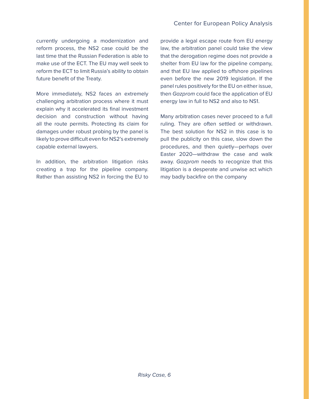currently undergoing a modernization and reform process, the NS2 case could be the last time that the Russian Federation is able to make use of the ECT. The EU may well seek to reform the ECT to limit Russia's ability to obtain future benefit of the Treaty.

More immediately, NS2 faces an extremely challenging arbitration process where it must explain why it accelerated its final investment decision and construction without having all the route permits. Protecting its claim for damages under robust probing by the panel is likely to prove difficult even for NS2's extremely capable external lawyers.

In addition, the arbitration litigation risks creating a trap for the pipeline company. Rather than assisting NS2 in forcing the EU to

provide a legal escape route from EU energy law, the arbitration panel could take the view that the derogation regime does not provide a shelter from EU law for the pipeline company, and that EU law applied to offshore pipelines even before the new 2019 legislation. If the panel rules positively for the EU on either issue, then Gazprom could face the application of EU energy law in full to NS2 and also to NS1.

Many arbitration cases never proceed to a full ruling. They are often settled or withdrawn. The best solution for NS2 in this case is to pull the publicity on this case, slow down the procedures, and then quietly—perhaps over Easter 2020—withdraw the case and walk away. Gazprom needs to recognize that this litigation is a desperate and unwise act which may badly backfire on the company